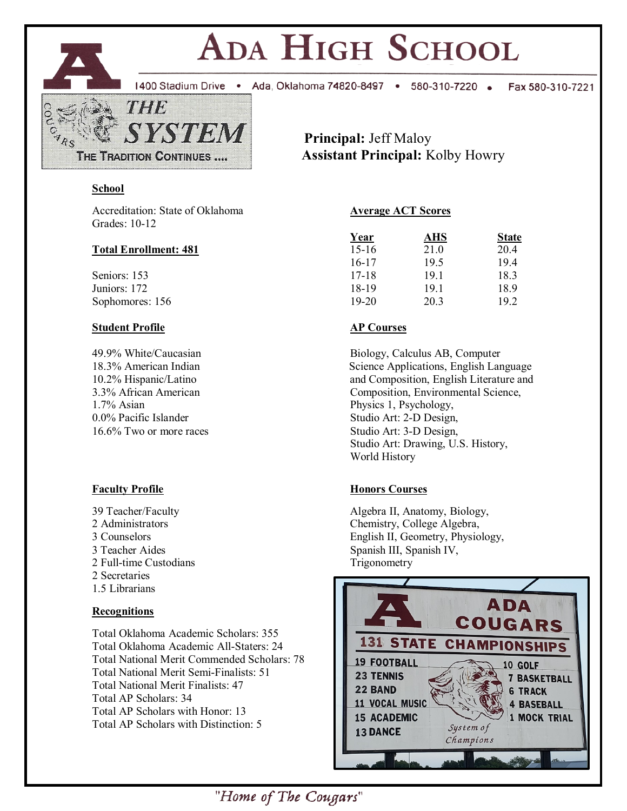

# ADA HIGH SCHOOL

1400 Stadium Drive . Ada, Oklahoma 74820-8497 . 580-310-7220 .

Fax 580-310-7221

 **Principal:** Jeff Maloy **Assistant Principal:** Kolby Howry

## **School**

Accreditation: State of Oklahoma **Average ACT Scores** Grades: 10-12

## **Total Enrollment: 481**

Seniors: 153 Juniors: 172 Sophomores: 156

## **Student Profile AP Courses**

1.7% Asian Physics 1, Psychology, 0.0% Pacific Islander Studio Art: 2-D Design, 16.6% Two or more races Studio Art: 3-D Design,

2 Full-time Custodians Trigonometry 2 Secretaries 1.5 Librarians

# **Recognitions**

Total Oklahoma Academic Scholars: 355 Total Oklahoma Academic All-Staters: 24 Total National Merit Commended Scholars: 78 Total National Merit Semi-Finalists: 51 Total National Merit Finalists: 47 Total AP Scholars: 34 Total AP Scholars with Honor: 13 Total AP Scholars with Distinction: 5

| Year      | AHS  | <b>State</b> |  |  |
|-----------|------|--------------|--|--|
| $15-16$   | 21.0 | 20.4         |  |  |
| $16-17$   | 19.5 | 19.4         |  |  |
| $17 - 18$ | 19.1 | 18.3         |  |  |
| 18-19     | 19.1 | 18.9         |  |  |
| $19-20$   | 20.3 | 19.2         |  |  |

49.9% White/Caucasian Biology, Calculus AB, Computer 18.3% American Indian Science Applications, English Language 10.2% Hispanic/Latino and Composition, English Literature and 3.3% African American Composition, Environmental Science, Studio Art: Drawing, U.S. History, World History

# **Faculty Profile Honors Courses**

39 Teacher/Faculty **Algebra II, Anatomy, Biology**, 2 Administrators Chemistry, College Algebra, 3 Counselors English II, Geometry, Physiology, 3 Teacher Aides Spanish III, Spanish IV,



"Home of The Cougars"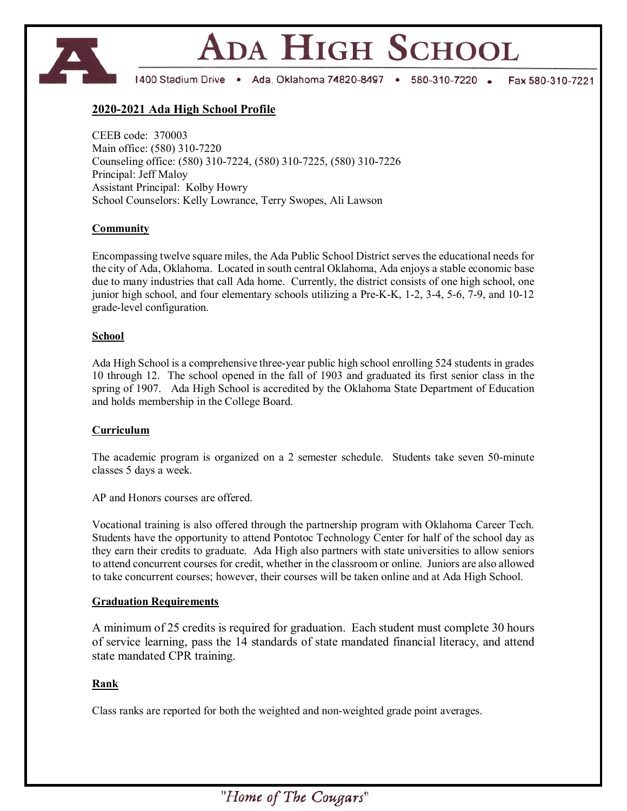

# ADA HIGH SCHOOL

1400 Stadium Drive . Ada, Oklahoma 74820-8497 . 580-310-7220 . Fax 580-310-7221

#### **2020-2021 Ada High School Profile**

CEEB code: 370003 Main office: (580) 310-7220 Counseling office: (580) 310-7224, (580) 310-7225, (580) 310-7226 Principal: Jeff Maloy Assistant Principal: Kolby Howry School Counselors: Kelly Lowrance, Terry Swopes, Ali Lawson

#### **Community**

Encompassing twelve square miles, the Ada Public School District serves the educational needs for the city of Ada, Oklahoma. Located in south central Oklahoma, Ada enjoys a stable economic base due to many industries that call Ada home. Currently, the district consists of one high school, one junior high school, and four elementary schools utilizing a Pre-K-K, 1-2, 3-4, 5-6, 7-9, and 10-12 grade-level configuration.

#### **School**

Ada High School is a comprehensive three-year public high school enrolling 524 students in grades 10 through 12. The school opened in the fall of 1903 and graduated its first senior class in the spring of 1907. Ada High School is accredited by the Oklahoma State Department of Education and holds membership in the College Board.

#### **Curriculum**

The academic program is organized on a 2 semester schedule. Students take seven 50-minute classes 5 days a week.

AP and Honors courses are offered.

Vocational training is also offered through the partnership program with Oklahoma Career Tech. Students have the opportunity to attend Pontotoc Technology Center for half of the school day as they earn their credits to graduate. Ada High also partners with state universities to allow seniors to attend concurrent courses for credit, whether in the classroom or online. Juniors are also allowed to take concurrent courses; however, their courses will be taken online and at Ada High School.

#### **Graduation Requirements**

A minimum of 25 credits is required for graduation. Each student must complete 30 hours of service learning, pass the 14 standards of state mandated financial literacy, and attend state mandated CPR training.

#### **Rank**

Class ranks are reported for both the weighted and non-weighted grade point averages.